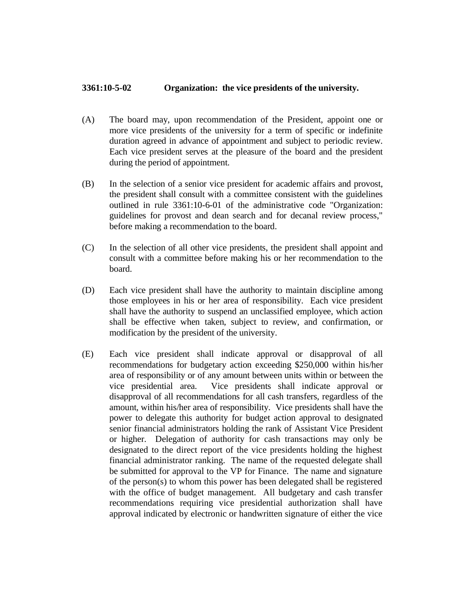## **3361:10-5-02 Organization: the vice presidents of the university.**

- (A) The board may, upon recommendation of the President, appoint one or more vice presidents of the university for a term of specific or indefinite duration agreed in advance of appointment and subject to periodic review. Each vice president serves at the pleasure of the board and the president during the period of appointment.
- (B) In the selection of a senior vice president for academic affairs and provost, the president shall consult with a committee consistent with the guidelines outlined in rule 3361:10-6-01 of the administrative code "Organization: guidelines for provost and dean search and for decanal review process," before making a recommendation to the board.
- (C) In the selection of all other vice presidents, the president shall appoint and consult with a committee before making his or her recommendation to the board.
- (D) Each vice president shall have the authority to maintain discipline among those employees in his or her area of responsibility. Each vice president shall have the authority to suspend an unclassified employee, which action shall be effective when taken, subject to review, and confirmation, or modification by the president of the university.
- (E) Each vice president shall indicate approval or disapproval of all recommendations for budgetary action exceeding \$250,000 within his/her area of responsibility or of any amount between units within or between the vice presidential area. Vice presidents shall indicate approval or disapproval of all recommendations for all cash transfers, regardless of the amount, within his/her area of responsibility. Vice presidents shall have the power to delegate this authority for budget action approval to designated senior financial administrators holding the rank of Assistant Vice President or higher. Delegation of authority for cash transactions may only be designated to the direct report of the vice presidents holding the highest financial administrator ranking. The name of the requested delegate shall be submitted for approval to the VP for Finance. The name and signature of the person(s) to whom this power has been delegated shall be registered with the office of budget management. All budgetary and cash transfer recommendations requiring vice presidential authorization shall have approval indicated by electronic or handwritten signature of either the vice